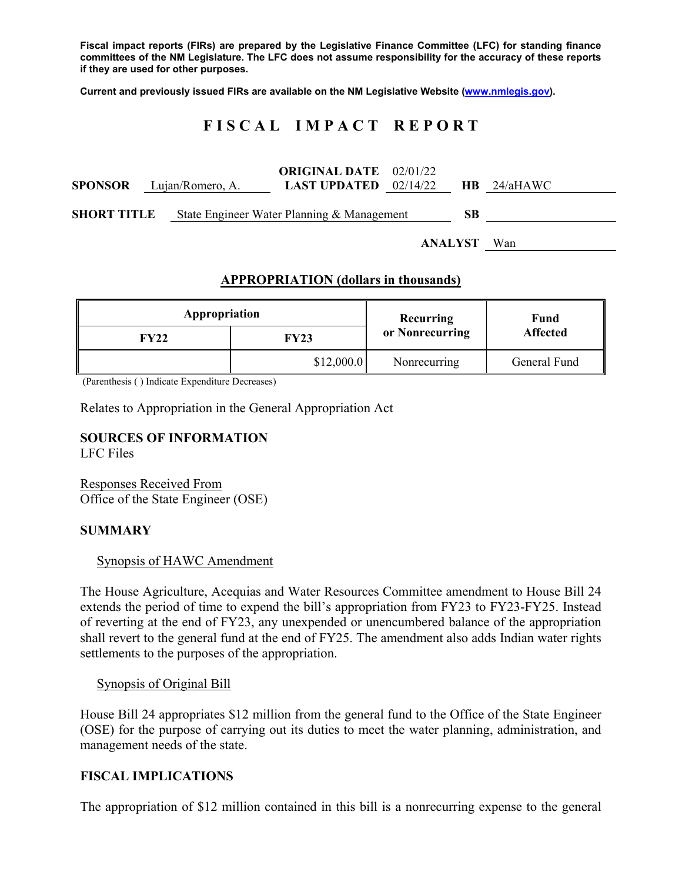**Fiscal impact reports (FIRs) are prepared by the Legislative Finance Committee (LFC) for standing finance committees of the NM Legislature. The LFC does not assume responsibility for the accuracy of these reports if they are used for other purposes.** 

**Current and previously issued FIRs are available on the NM Legislative Website (www.nmlegis.gov).** 

# **F I S C A L I M P A C T R E P O R T**

|                    |                                 | <b>ORIGINAL DATE</b> 02/01/22                    |  |  |               |
|--------------------|---------------------------------|--------------------------------------------------|--|--|---------------|
|                    | <b>SPONSOR</b> Lujan/Romero, A. | <b>LAST UPDATED</b> $02/14/22$                   |  |  | $HB$ 24/aHAWC |
| <b>SHORT TITLE</b> |                                 | State Engineer Water Planning & Management<br>SВ |  |  |               |
| <b>ANALYST</b>     |                                 |                                                  |  |  | Wan           |

## **APPROPRIATION (dollars in thousands)**

| Appropriation |             | <b>Recurring</b> | Fund<br><b>Affected</b> |  |
|---------------|-------------|------------------|-------------------------|--|
| FY22          | <b>FY23</b> | or Nonrecurring  |                         |  |
|               | \$12,000.0  | Nonrecurring     | General Fund            |  |

(Parenthesis ( ) Indicate Expenditure Decreases)

Relates to Appropriation in the General Appropriation Act

## **SOURCES OF INFORMATION**

LFC Files

Responses Received From Office of the State Engineer (OSE)

### **SUMMARY**

#### Synopsis of HAWC Amendment

The House Agriculture, Acequias and Water Resources Committee amendment to House Bill 24 extends the period of time to expend the bill's appropriation from FY23 to FY23-FY25. Instead of reverting at the end of FY23, any unexpended or unencumbered balance of the appropriation shall revert to the general fund at the end of FY25. The amendment also adds Indian water rights settlements to the purposes of the appropriation.

#### Synopsis of Original Bill

House Bill 24 appropriates \$12 million from the general fund to the Office of the State Engineer (OSE) for the purpose of carrying out its duties to meet the water planning, administration, and management needs of the state.

### **FISCAL IMPLICATIONS**

The appropriation of \$12 million contained in this bill is a nonrecurring expense to the general